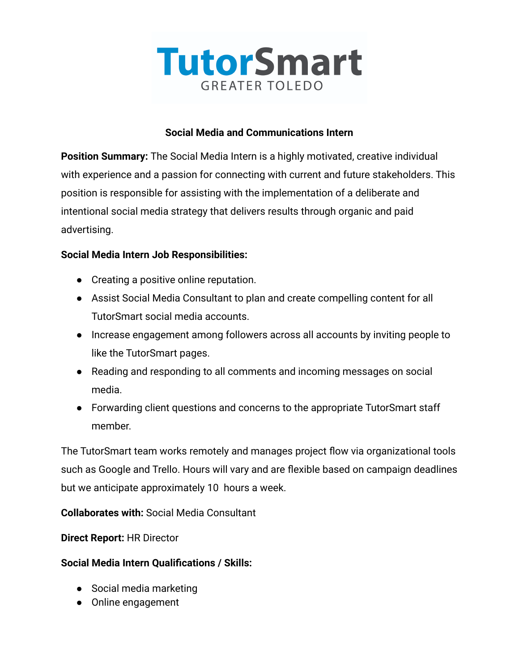

#### **Social Media and Communications Intern**

**Position Summary:** The Social Media Intern is a highly motivated, creative individual with experience and a passion for connecting with current and future stakeholders. This position is responsible for assisting with the implementation of a deliberate and intentional social media strategy that delivers results through organic and paid advertising.

### **Social Media Intern Job Responsibilities:**

- Creating a positive online reputation.
- Assist Social Media Consultant to plan and create compelling content for all TutorSmart social media accounts.
- Increase engagement among followers across all accounts by inviting people to like the TutorSmart pages.
- Reading and responding to all comments and incoming messages on social media.
- Forwarding client questions and concerns to the appropriate TutorSmart staff member.

The TutorSmart team works remotely and manages project flow via organizational tools such as Google and Trello. Hours will vary and are flexible based on campaign deadlines but we anticipate approximately 10 hours a week.

**Collaborates with:** Social Media Consultant

**Direct Report:** HR Director

### **Social Media Intern Qualifications / Skills:**

- Social media marketing
- Online engagement